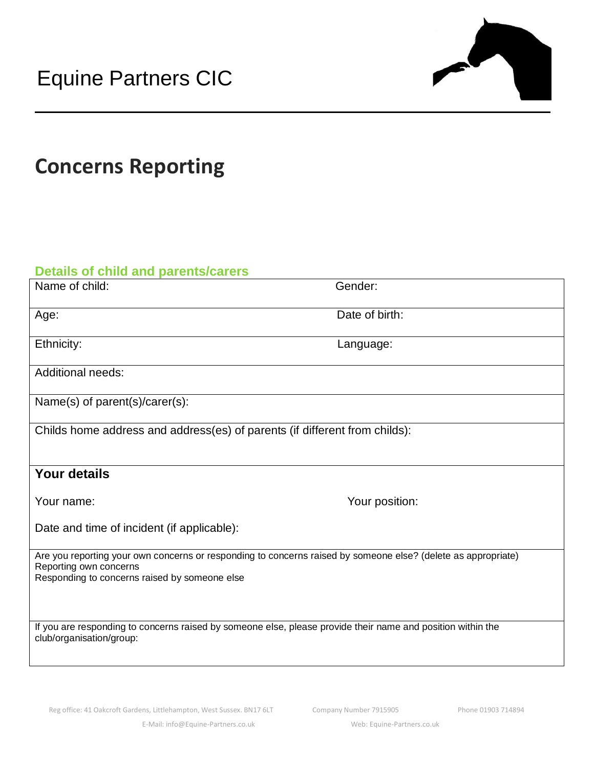

## **Concerns Reporting**

## **Details of child and parents/carers**

| Name of child:                                                                                                                                                                           | Gender:        |
|------------------------------------------------------------------------------------------------------------------------------------------------------------------------------------------|----------------|
| Age:                                                                                                                                                                                     | Date of birth: |
| Ethnicity:                                                                                                                                                                               | Language:      |
| <b>Additional needs:</b>                                                                                                                                                                 |                |
| Name(s) of parent(s)/carer(s):                                                                                                                                                           |                |
| Childs home address and address(es) of parents (if different from childs):                                                                                                               |                |
| <b>Your details</b>                                                                                                                                                                      |                |
| Your name:                                                                                                                                                                               | Your position: |
| Date and time of incident (if applicable):                                                                                                                                               |                |
| Are you reporting your own concerns or responding to concerns raised by someone else? (delete as appropriate)<br>Reporting own concerns<br>Responding to concerns raised by someone else |                |
| If you are responding to concerns raised by someone else, please provide their name and position within the<br>club/organisation/group:                                                  |                |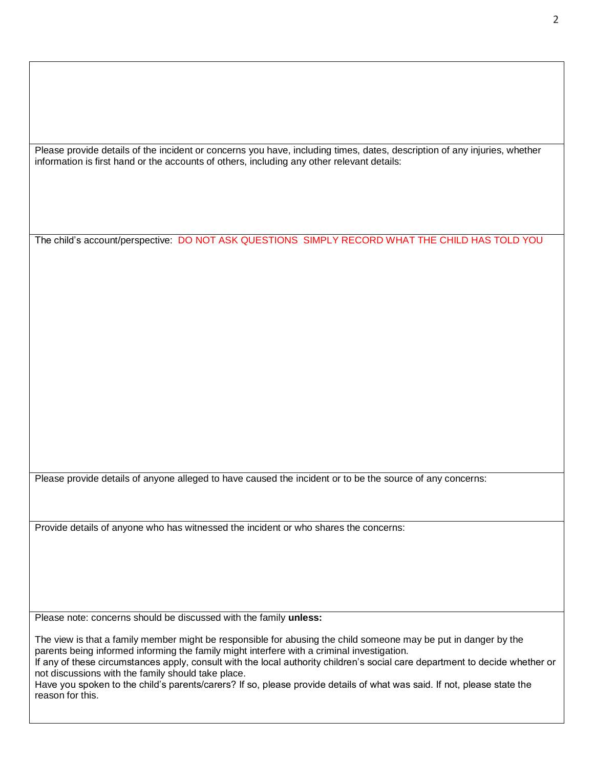Please provide details of the incident or concerns you have, including times, dates, description of any injuries, whether information is first hand or the accounts of others, including any other relevant details:

The child's account/perspective: DO NOT ASK QUESTIONS SIMPLY RECORD WHAT THE CHILD HAS TOLD YOU

Please provide details of anyone alleged to have caused the incident or to be the source of any concerns:

Provide details of anyone who has witnessed the incident or who shares the concerns:

Please note: concerns should be discussed with the family **unless:**

The view is that a family member might be responsible for abusing the child someone may be put in danger by the parents being informed informing the family might interfere with a criminal investigation.

If any of these circumstances apply, consult with the local authority children's social care department to decide whether or not discussions with the family should take place.

Have you spoken to the child's parents/carers? If so, please provide details of what was said. If not, please state the reason for this.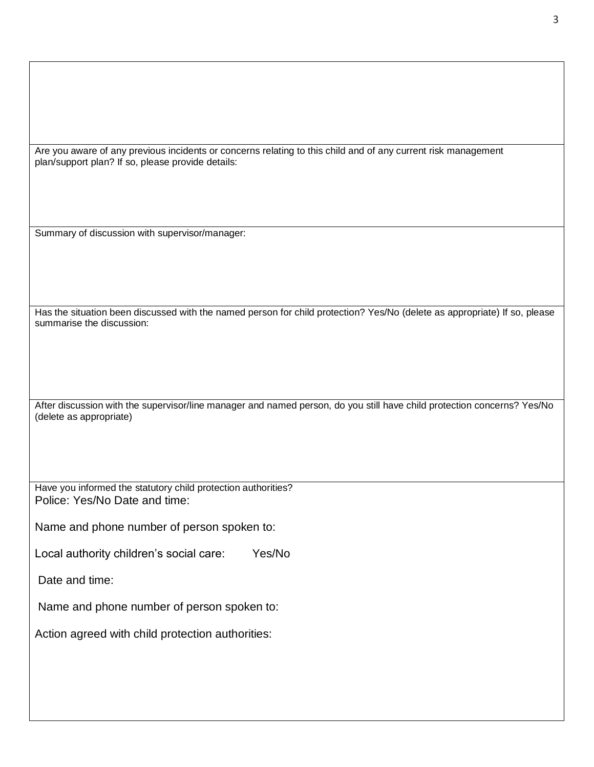Are you aware of any previous incidents or concerns relating to this child and of any current risk management plan/support plan? If so, please provide details:

Summary of discussion with supervisor/manager:

Has the situation been discussed with the named person for child protection? Yes/No (delete as appropriate) If so, please summarise the discussion:

After discussion with the supervisor/line manager and named person, do you still have child protection concerns? Yes/No (delete as appropriate)

Have you informed the statutory child protection authorities? Police: Yes/No Date and time:

Name and phone number of person spoken to:

Local authority children's social care: Yes/No

Date and time:

Name and phone number of person spoken to:

Action agreed with child protection authorities: